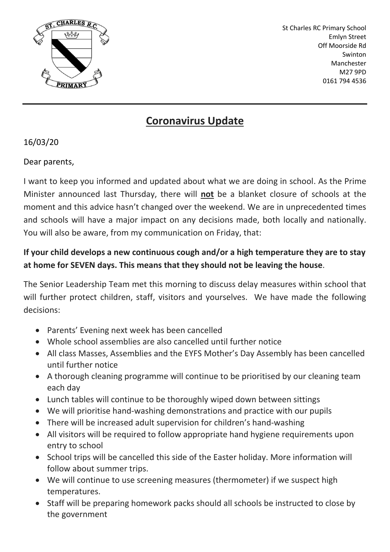

St Charles RC Primary School Emlyn Street Off Moorside Rd Swinton Manchester M27 9PD 0161 794 4536

## **Coronavirus Update**

16/03/20

## Dear parents,

I want to keep you informed and updated about what we are doing in school. As the Prime Minister announced last Thursday, there will **not** be a blanket closure of schools at the moment and this advice hasn't changed over the weekend. We are in unprecedented times and schools will have a major impact on any decisions made, both locally and nationally. You will also be aware, from my communication on Friday, that:

## **If your child develops a new continuous cough and/or a high temperature they are to stay at home for SEVEN days. This means that they should not be leaving the house**.

The Senior Leadership Team met this morning to discuss delay measures within school that will further protect children, staff, visitors and yourselves. We have made the following decisions:

- Parents' Evening next week has been cancelled
- Whole school assemblies are also cancelled until further notice
- All class Masses, Assemblies and the EYFS Mother's Day Assembly has been cancelled until further notice
- A thorough cleaning programme will continue to be prioritised by our cleaning team each day
- Lunch tables will continue to be thoroughly wiped down between sittings
- We will prioritise hand-washing demonstrations and practice with our pupils
- There will be increased adult supervision for children's hand-washing
- All visitors will be required to follow appropriate hand hygiene requirements upon entry to school
- School trips will be cancelled this side of the Easter holiday. More information will follow about summer trips.
- We will continue to use screening measures (thermometer) if we suspect high temperatures.
- Staff will be preparing homework packs should all schools be instructed to close by the government